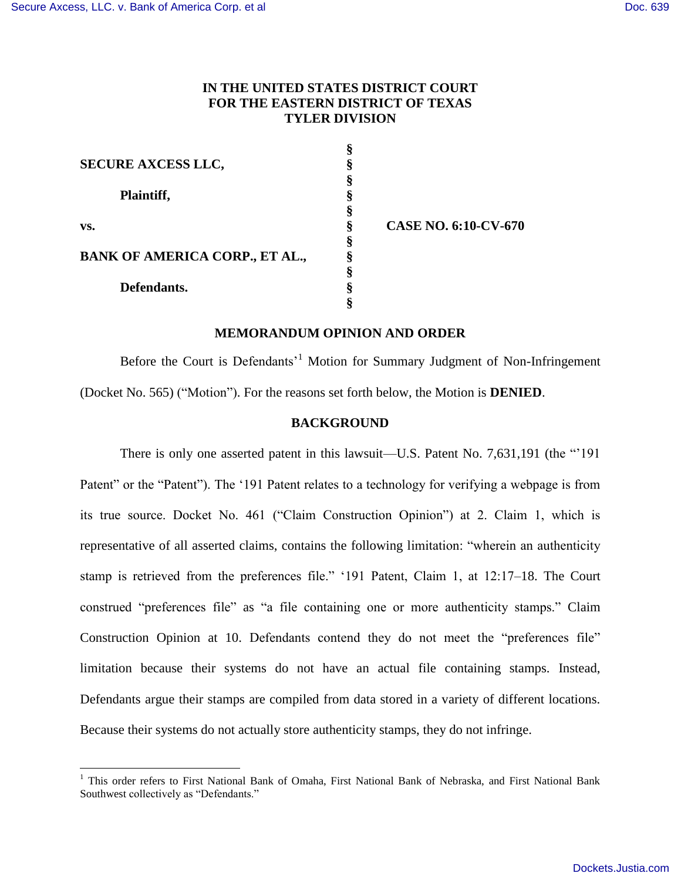$\overline{a}$ 

# **IN THE UNITED STATES DISTRICT COURT FOR THE EASTERN DISTRICT OF TEXAS TYLER DIVISION**

| <b>SECURE AXCESS LLC,</b>             |   |
|---------------------------------------|---|
|                                       |   |
| Plaintiff,                            | § |
|                                       |   |
| VS.                                   |   |
|                                       | ş |
| <b>BANK OF AMERICA CORP., ET AL.,</b> | § |
|                                       | ş |
| Defendants.                           |   |
|                                       |   |

**§ CASE NO. 6:10-CV-670**

# **MEMORANDUM OPINION AND ORDER**

Before the Court is Defendants<sup>1</sup> Motion for Summary Judgment of Non-Infringement (Docket No. 565) ("Motion"). For the reasons set forth below, the Motion is **DENIED**.

### **BACKGROUND**

There is only one asserted patent in this lawsuit—U.S. Patent No. 7,631,191 (the "'191") Patent" or the "Patent"). The '191 Patent relates to a technology for verifying a webpage is from its true source. Docket No. 461 ("Claim Construction Opinion") at 2. Claim 1, which is representative of all asserted claims, contains the following limitation: "wherein an authenticity stamp is retrieved from the preferences file." '191 Patent, Claim 1, at 12:17–18. The Court construed "preferences file" as "a file containing one or more authenticity stamps." Claim Construction Opinion at 10. Defendants contend they do not meet the "preferences file" limitation because their systems do not have an actual file containing stamps. Instead, Defendants argue their stamps are compiled from data stored in a variety of different locations. Because their systems do not actually store authenticity stamps, they do not infringe.

<sup>&</sup>lt;sup>1</sup> This order refers to First National Bank of Omaha, First National Bank of Nebraska, and First National Bank Southwest collectively as "Defendants."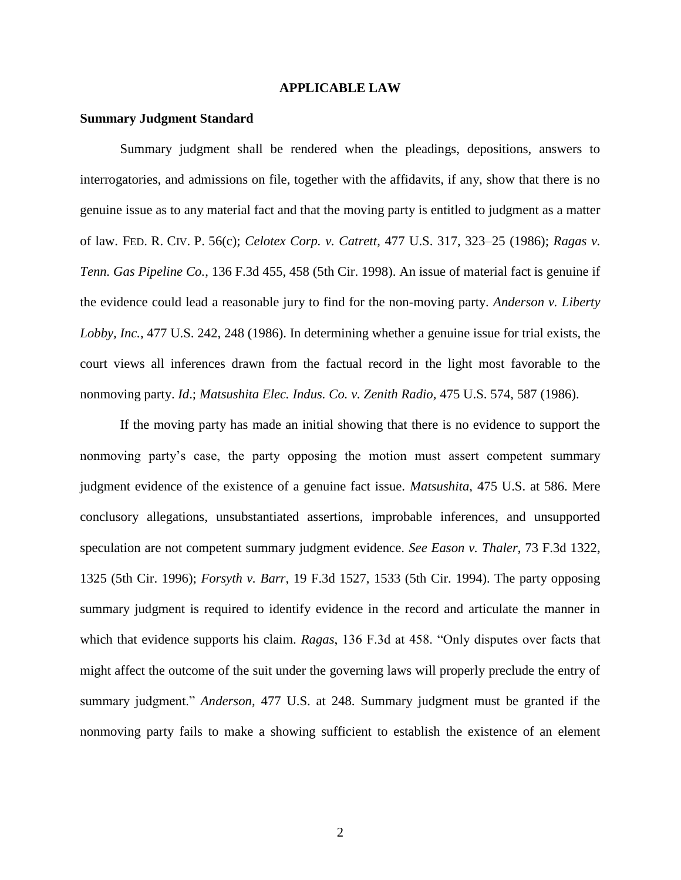### **APPLICABLE LAW**

#### **Summary Judgment Standard**

Summary judgment shall be rendered when the pleadings, depositions, answers to interrogatories, and admissions on file, together with the affidavits, if any, show that there is no genuine issue as to any material fact and that the moving party is entitled to judgment as a matter of law. FED. R. CIV. P. 56(c); *Celotex Corp. v. Catrett*, 477 U.S. 317, 323–25 (1986); *Ragas v. Tenn. Gas Pipeline Co.*, 136 F.3d 455, 458 (5th Cir. 1998). An issue of material fact is genuine if the evidence could lead a reasonable jury to find for the non-moving party. *Anderson v. Liberty Lobby, Inc.*, 477 U.S. 242, 248 (1986). In determining whether a genuine issue for trial exists, the court views all inferences drawn from the factual record in the light most favorable to the nonmoving party. *Id*.; *Matsushita Elec. Indus. Co. v. Zenith Radio,* 475 U.S. 574, 587 (1986).

If the moving party has made an initial showing that there is no evidence to support the nonmoving party's case, the party opposing the motion must assert competent summary judgment evidence of the existence of a genuine fact issue. *Matsushita*, 475 U.S. at 586. Mere conclusory allegations, unsubstantiated assertions, improbable inferences, and unsupported speculation are not competent summary judgment evidence. *See Eason v. Thaler*, 73 F.3d 1322, 1325 (5th Cir. 1996); *Forsyth v. Barr*, 19 F.3d 1527, 1533 (5th Cir. 1994). The party opposing summary judgment is required to identify evidence in the record and articulate the manner in which that evidence supports his claim. *Ragas*, 136 F.3d at 458. "Only disputes over facts that might affect the outcome of the suit under the governing laws will properly preclude the entry of summary judgment." *Anderson,* 477 U.S. at 248. Summary judgment must be granted if the nonmoving party fails to make a showing sufficient to establish the existence of an element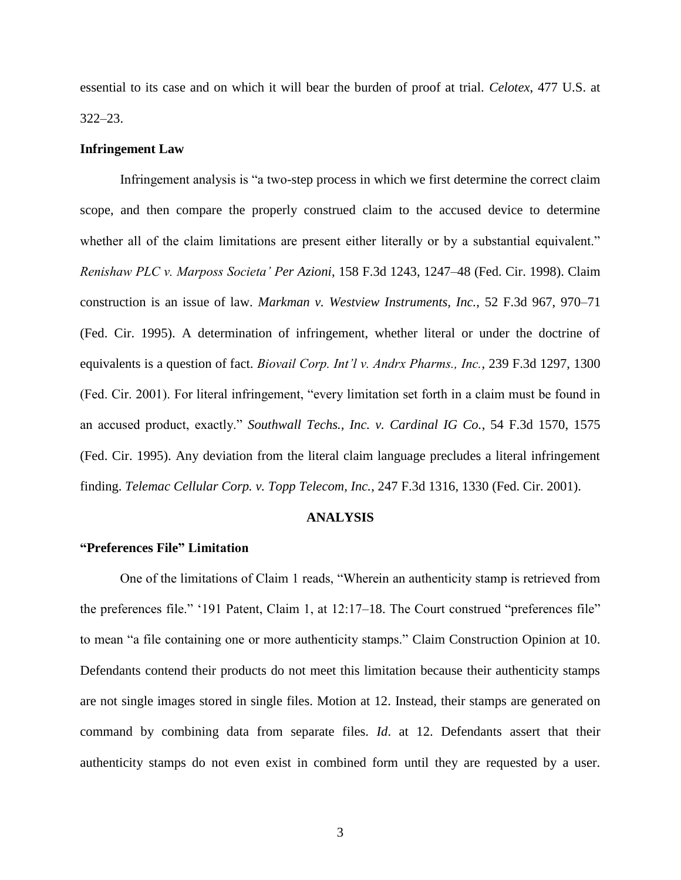essential to its case and on which it will bear the burden of proof at trial. *Celotex*, 477 U.S. at 322–23.

### **Infringement Law**

Infringement analysis is "a two-step process in which we first determine the correct claim scope, and then compare the properly construed claim to the accused device to determine whether all of the claim limitations are present either literally or by a substantial equivalent." *Renishaw PLC v. Marposs Societa' Per Azioni*, 158 F.3d 1243, 1247–48 (Fed. Cir. 1998). Claim construction is an issue of law. *Markman v. Westview Instruments, Inc.*, 52 F.3d 967, 970–71 (Fed. Cir. 1995). A determination of infringement, whether literal or under the doctrine of equivalents is a question of fact. *Biovail Corp. Int'l v. Andrx Pharms., Inc.*, 239 F.3d 1297, 1300 (Fed. Cir. 2001). For literal infringement, "every limitation set forth in a claim must be found in an accused product, exactly." *Southwall Techs., Inc. v. Cardinal IG Co.*, 54 F.3d 1570, 1575 (Fed. Cir. 1995). Any deviation from the literal claim language precludes a literal infringement finding. *Telemac Cellular Corp. v. Topp Telecom, Inc.*, 247 F.3d 1316, 1330 (Fed. Cir. 2001).

### **ANALYSIS**

# **"Preferences File" Limitation**

One of the limitations of Claim 1 reads, "Wherein an authenticity stamp is retrieved from the preferences file." '191 Patent, Claim 1, at 12:17–18. The Court construed "preferences file" to mean "a file containing one or more authenticity stamps." Claim Construction Opinion at 10. Defendants contend their products do not meet this limitation because their authenticity stamps are not single images stored in single files. Motion at 12. Instead, their stamps are generated on command by combining data from separate files. *Id*. at 12. Defendants assert that their authenticity stamps do not even exist in combined form until they are requested by a user.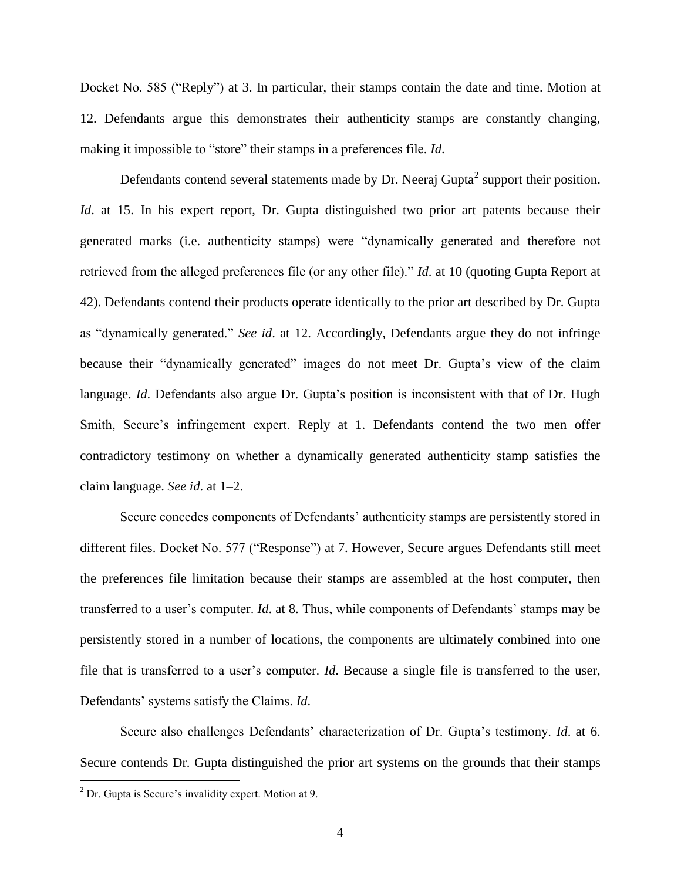Docket No. 585 ("Reply") at 3. In particular, their stamps contain the date and time. Motion at 12. Defendants argue this demonstrates their authenticity stamps are constantly changing, making it impossible to "store" their stamps in a preferences file. *Id*.

Defendants contend several statements made by Dr. Neeraj Gupta<sup>2</sup> support their position. *Id.* at 15. In his expert report, Dr. Gupta distinguished two prior art patents because their generated marks (i.e. authenticity stamps) were "dynamically generated and therefore not retrieved from the alleged preferences file (or any other file)." *Id*. at 10 (quoting Gupta Report at 42). Defendants contend their products operate identically to the prior art described by Dr. Gupta as "dynamically generated." *See id*. at 12. Accordingly, Defendants argue they do not infringe because their "dynamically generated" images do not meet Dr. Gupta's view of the claim language. *Id*. Defendants also argue Dr. Gupta's position is inconsistent with that of Dr. Hugh Smith, Secure's infringement expert. Reply at 1. Defendants contend the two men offer contradictory testimony on whether a dynamically generated authenticity stamp satisfies the claim language. *See id*. at 1–2.

Secure concedes components of Defendants' authenticity stamps are persistently stored in different files. Docket No. 577 ("Response") at 7. However, Secure argues Defendants still meet the preferences file limitation because their stamps are assembled at the host computer, then transferred to a user's computer. *Id*. at 8. Thus, while components of Defendants' stamps may be persistently stored in a number of locations, the components are ultimately combined into one file that is transferred to a user's computer. *Id*. Because a single file is transferred to the user, Defendants' systems satisfy the Claims. *Id*.

Secure also challenges Defendants' characterization of Dr. Gupta's testimony. *Id*. at 6. Secure contends Dr. Gupta distinguished the prior art systems on the grounds that their stamps

 $\overline{a}$ 

 $2^2$  Dr. Gupta is Secure's invalidity expert. Motion at 9.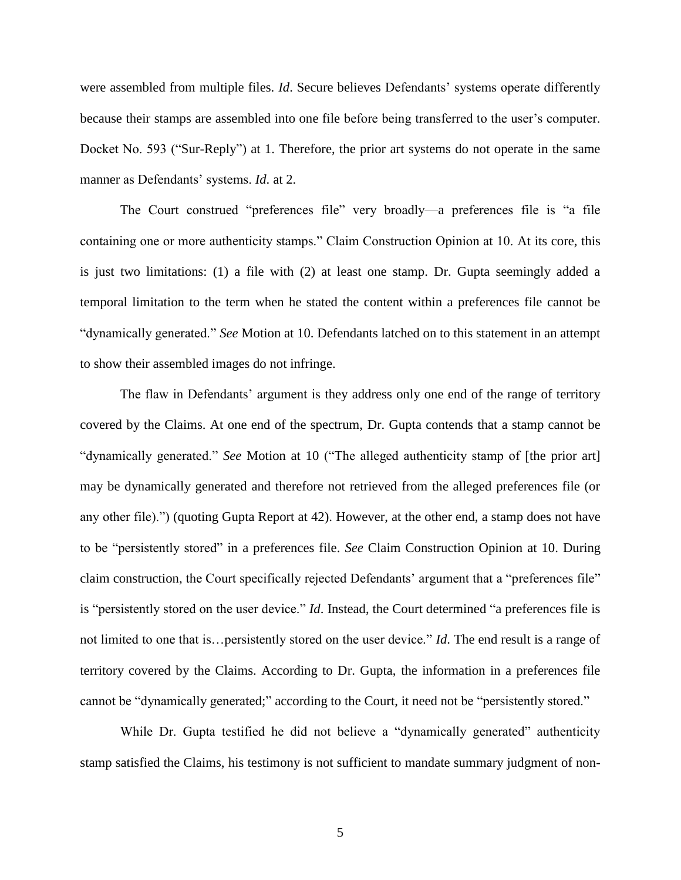were assembled from multiple files. *Id*. Secure believes Defendants' systems operate differently because their stamps are assembled into one file before being transferred to the user's computer. Docket No. 593 ("Sur-Reply") at 1. Therefore, the prior art systems do not operate in the same manner as Defendants' systems. *Id*. at 2.

The Court construed "preferences file" very broadly—a preferences file is "a file containing one or more authenticity stamps." Claim Construction Opinion at 10. At its core, this is just two limitations: (1) a file with (2) at least one stamp. Dr. Gupta seemingly added a temporal limitation to the term when he stated the content within a preferences file cannot be "dynamically generated." *See* Motion at 10. Defendants latched on to this statement in an attempt to show their assembled images do not infringe.

The flaw in Defendants' argument is they address only one end of the range of territory covered by the Claims. At one end of the spectrum, Dr. Gupta contends that a stamp cannot be "dynamically generated." *See* Motion at 10 ("The alleged authenticity stamp of [the prior art] may be dynamically generated and therefore not retrieved from the alleged preferences file (or any other file).") (quoting Gupta Report at 42). However, at the other end, a stamp does not have to be "persistently stored" in a preferences file. *See* Claim Construction Opinion at 10. During claim construction, the Court specifically rejected Defendants' argument that a "preferences file" is "persistently stored on the user device." *Id*. Instead, the Court determined "a preferences file is not limited to one that is…persistently stored on the user device." *Id*. The end result is a range of territory covered by the Claims. According to Dr. Gupta, the information in a preferences file cannot be "dynamically generated;" according to the Court, it need not be "persistently stored."

While Dr. Gupta testified he did not believe a "dynamically generated" authenticity stamp satisfied the Claims, his testimony is not sufficient to mandate summary judgment of non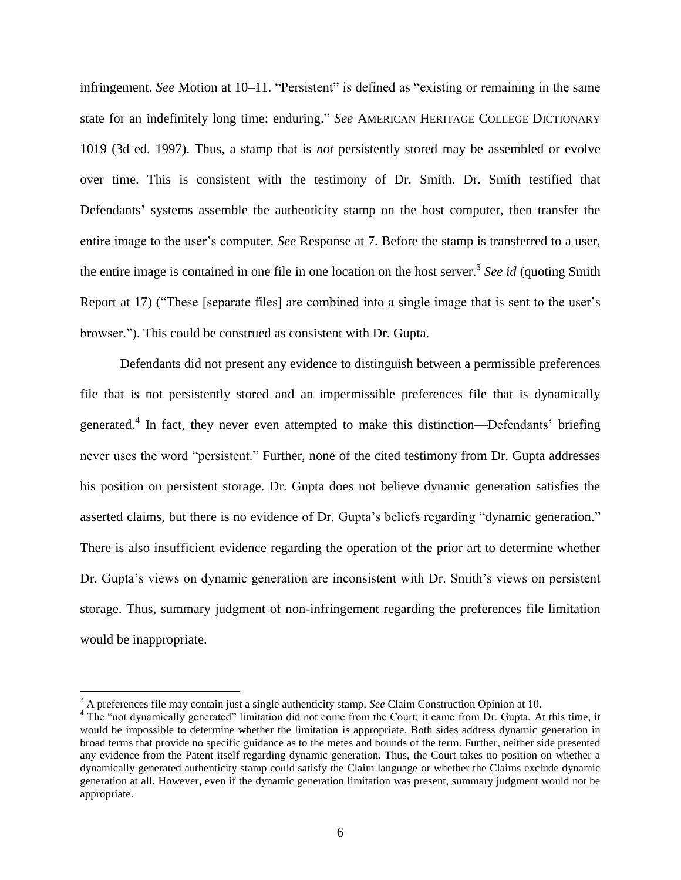infringement. *See* Motion at 10–11. "Persistent" is defined as "existing or remaining in the same state for an indefinitely long time; enduring." *See* AMERICAN HERITAGE COLLEGE DICTIONARY 1019 (3d ed. 1997). Thus, a stamp that is *not* persistently stored may be assembled or evolve over time. This is consistent with the testimony of Dr. Smith. Dr. Smith testified that Defendants' systems assemble the authenticity stamp on the host computer, then transfer the entire image to the user's computer. *See* Response at 7. Before the stamp is transferred to a user, the entire image is contained in one file in one location on the host server.<sup>3</sup> See id (quoting Smith Report at 17) ("These [separate files] are combined into a single image that is sent to the user's browser."). This could be construed as consistent with Dr. Gupta.

Defendants did not present any evidence to distinguish between a permissible preferences file that is not persistently stored and an impermissible preferences file that is dynamically generated.<sup>4</sup> In fact, they never even attempted to make this distinction—Defendants' briefing never uses the word "persistent." Further, none of the cited testimony from Dr. Gupta addresses his position on persistent storage. Dr. Gupta does not believe dynamic generation satisfies the asserted claims, but there is no evidence of Dr. Gupta's beliefs regarding "dynamic generation." There is also insufficient evidence regarding the operation of the prior art to determine whether Dr. Gupta's views on dynamic generation are inconsistent with Dr. Smith's views on persistent storage. Thus, summary judgment of non-infringement regarding the preferences file limitation would be inappropriate.

 $\overline{a}$ 

<sup>&</sup>lt;sup>3</sup> A preferences file may contain just a single authenticity stamp. *See* Claim Construction Opinion at 10.

<sup>&</sup>lt;sup>4</sup> The "not dynamically generated" limitation did not come from the Court; it came from Dr. Gupta. At this time, it would be impossible to determine whether the limitation is appropriate. Both sides address dynamic generation in broad terms that provide no specific guidance as to the metes and bounds of the term. Further, neither side presented any evidence from the Patent itself regarding dynamic generation. Thus, the Court takes no position on whether a dynamically generated authenticity stamp could satisfy the Claim language or whether the Claims exclude dynamic generation at all. However, even if the dynamic generation limitation was present, summary judgment would not be appropriate.